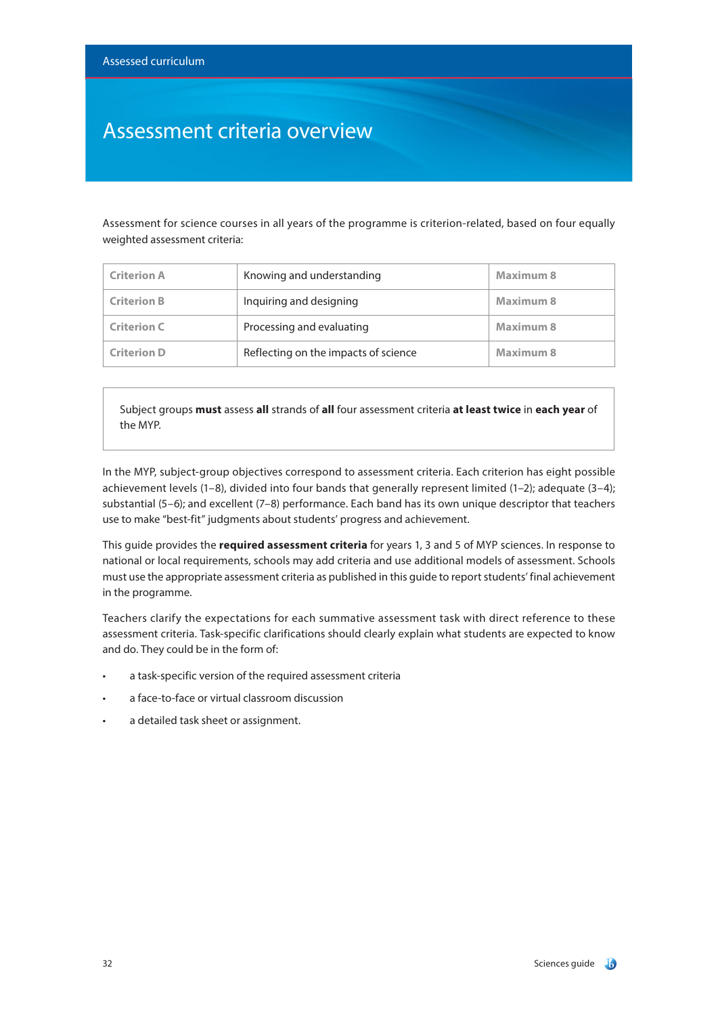### Assessment criteria overview

Assessment for science courses in all years of the programme is criterion-related, based on four equally weighted assessment criteria:

| <b>Criterion A</b> | Knowing and understanding            | Maximum 8 |
|--------------------|--------------------------------------|-----------|
| <b>Criterion B</b> | Inquiring and designing              | Maximum 8 |
| <b>Criterion C</b> | Processing and evaluating            | Maximum 8 |
| <b>Criterion D</b> | Reflecting on the impacts of science | Maximum 8 |

Subject groups **must** assess **all** strands of **all** four assessment criteria **at least twice** in **each year** of the MYP.

In the MYP, subject-group objectives correspond to assessment criteria. Each criterion has eight possible achievement levels (1–8), divided into four bands that generally represent limited (1–2); adequate (3–4); substantial (5–6); and excellent (7–8) performance. Each band has its own unique descriptor that teachers use to make "best-fit" judgments about students' progress and achievement.

This guide provides the **required assessment criteria** for years 1, 3 and 5 of MYP sciences. In response to national or local requirements, schools may add criteria and use additional models of assessment. Schools must use the appropriate assessment criteria as published in this guide to report students' final achievement in the programme.

Teachers clarify the expectations for each summative assessment task with direct reference to these assessment criteria. Task-specific clarifications should clearly explain what students are expected to know and do. They could be in the form of:

- a task-specific version of the required assessment criteria
- a face-to-face or virtual classroom discussion
- a detailed task sheet or assignment.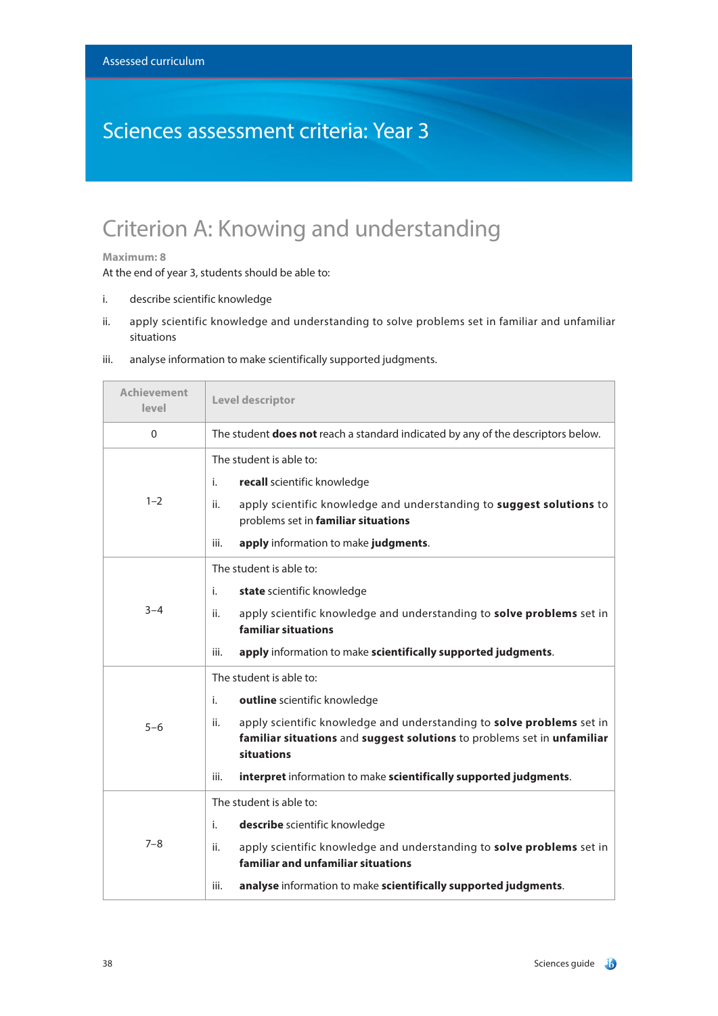## Sciences assessment criteria: Year 3

## Criterion A: Knowing and understanding

### **Maximum: 8**

At the end of year 3, students should be able to:

- i. describe scientific knowledge
- ii. apply scientific knowledge and understanding to solve problems set in familiar and unfamiliar situations

| <b>Achievement</b><br>level | Level descriptor                                                                                                                                                                                                                                                                                                    |
|-----------------------------|---------------------------------------------------------------------------------------------------------------------------------------------------------------------------------------------------------------------------------------------------------------------------------------------------------------------|
| $\Omega$                    | The student <b>does not</b> reach a standard indicated by any of the descriptors below.                                                                                                                                                                                                                             |
| $1 - 2$                     | The student is able to:<br>recall scientific knowledge<br>i.<br>apply scientific knowledge and understanding to suggest solutions to<br>ii.<br>problems set in familiar situations<br>apply information to make judgments.<br>iii.                                                                                  |
| $3 - 4$                     | The student is able to:<br>i.<br>state scientific knowledge<br>apply scientific knowledge and understanding to solve problems set in<br>ii.<br>familiar situations<br>apply information to make scientifically supported judgments.<br>iii.                                                                         |
| $5 - 6$                     | The student is able to:<br>i.<br>outline scientific knowledge<br>apply scientific knowledge and understanding to solve problems set in<br>ii.<br>familiar situations and suggest solutions to problems set in unfamiliar<br>situations<br>interpret information to make scientifically supported judgments.<br>iii. |
| $7 - 8$                     | The student is able to:<br>i.<br>describe scientific knowledge<br>apply scientific knowledge and understanding to solve problems set in<br>ii.<br>familiar and unfamiliar situations<br>analyse information to make scientifically supported judgments.<br>iii.                                                     |

iii. analyse information to make scientifically supported judgments.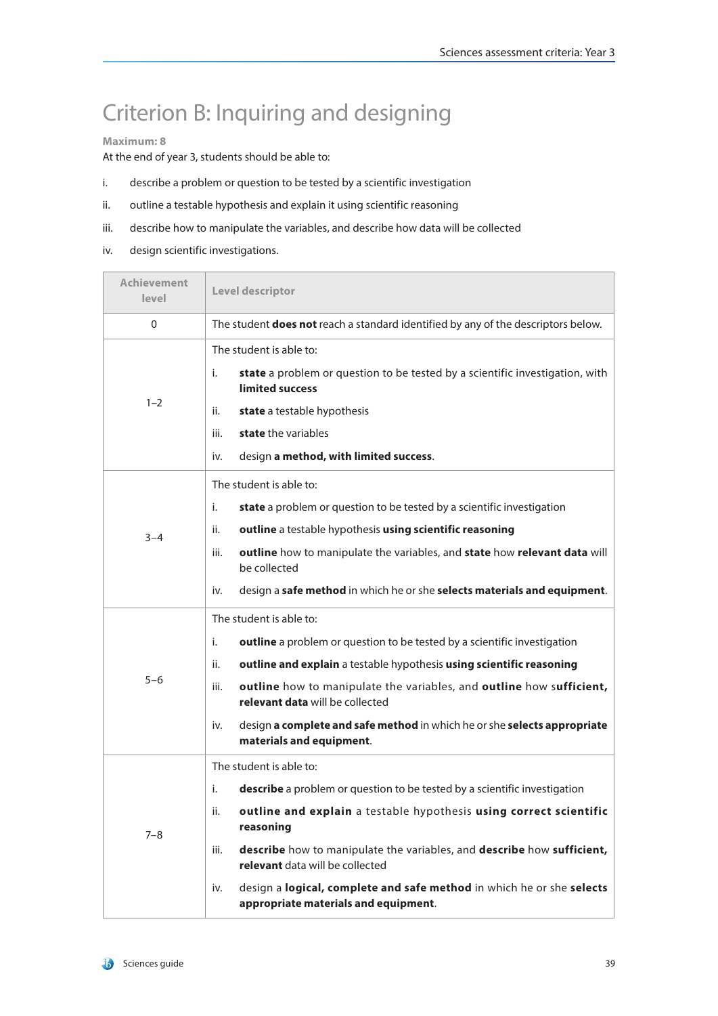## Criterion B: Inquiring and designing

### **Maximum: 8**

At the end of year 3, students should be able to:

- i. describe a problem or question to be tested by a scientific investigation
- ii. outline a testable hypothesis and explain it using scientific reasoning
- iii. describe how to manipulate the variables, and describe how data will be collected
- iv. design scientific investigations.

| Achievement<br>level | Level descriptor                                                                                                     |  |
|----------------------|----------------------------------------------------------------------------------------------------------------------|--|
| 0                    | The student does not reach a standard identified by any of the descriptors below.                                    |  |
|                      | The student is able to:                                                                                              |  |
|                      | state a problem or question to be tested by a scientific investigation, with<br>i.<br>limited success                |  |
| $1 - 2$              | <b>state</b> a testable hypothesis<br>ii.                                                                            |  |
|                      | state the variables<br>iii.                                                                                          |  |
|                      | design a method, with limited success.<br>iv.                                                                        |  |
|                      | The student is able to:                                                                                              |  |
|                      | state a problem or question to be tested by a scientific investigation<br>i.                                         |  |
| $3 - 4$              | outline a testable hypothesis using scientific reasoning<br>ii.                                                      |  |
|                      | outline how to manipulate the variables, and state how relevant data will<br>iii.<br>be collected                    |  |
|                      | design a safe method in which he or she selects materials and equipment.<br>iv.                                      |  |
|                      | The student is able to:                                                                                              |  |
|                      | i.<br>outline a problem or question to be tested by a scientific investigation                                       |  |
|                      | outline and explain a testable hypothesis using scientific reasoning<br>ii.                                          |  |
| $5 - 6$              | outline how to manipulate the variables, and outline how sufficient,<br>iii.<br>relevant data will be collected      |  |
|                      | design a complete and safe method in which he or she selects appropriate<br>iv.<br>materials and equipment.          |  |
|                      | The student is able to:                                                                                              |  |
|                      | describe a problem or question to be tested by a scientific investigation<br>i.                                      |  |
| $7 - 8$              | outline and explain a testable hypothesis using correct scientific<br>ii.<br>reasoning                               |  |
|                      | describe how to manipulate the variables, and describe how sufficient,<br>iii.<br>relevant data will be collected    |  |
|                      | design a logical, complete and safe method in which he or she selects<br>iv.<br>appropriate materials and equipment. |  |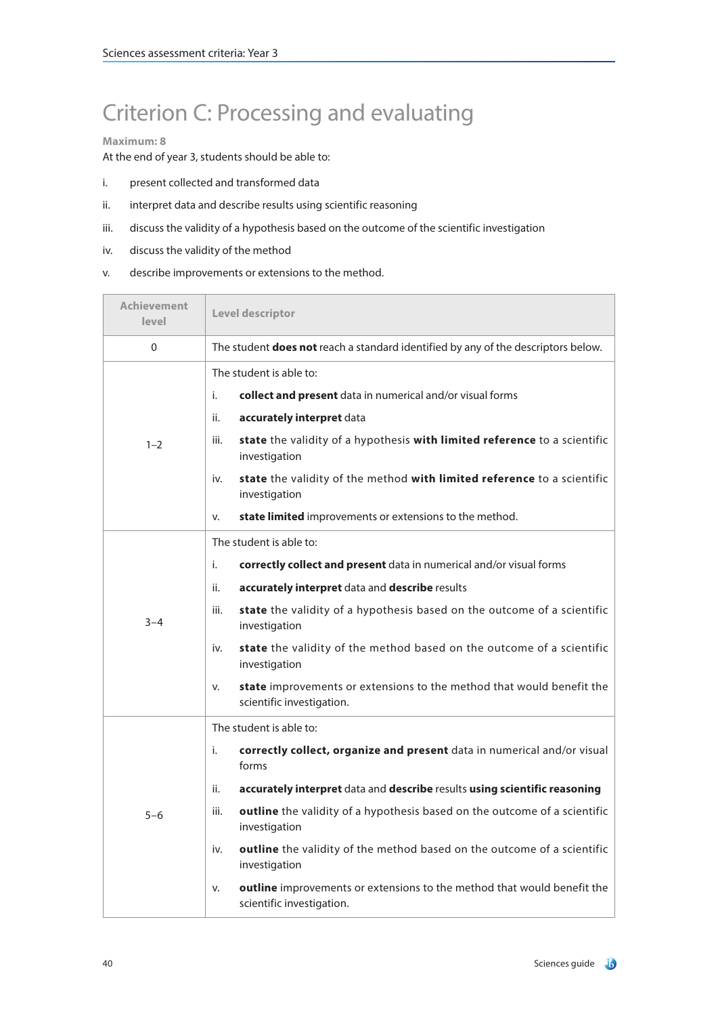## Criterion C: Processing and evaluating

### **Maximum: 8**

At the end of year 3, students should be able to:

- i. present collected and transformed data
- ii. interpret data and describe results using scientific reasoning
- iii. discuss the validity of a hypothesis based on the outcome of the scientific investigation
- iv. discuss the validity of the method
- v. describe improvements or extensions to the method.

| <b>Achievement</b><br>level | Level descriptor                                                                                           |  |
|-----------------------------|------------------------------------------------------------------------------------------------------------|--|
| $\Omega$                    | The student does not reach a standard identified by any of the descriptors below.                          |  |
|                             | The student is able to:                                                                                    |  |
|                             | i.<br>collect and present data in numerical and/or visual forms                                            |  |
|                             | accurately interpret data<br>ii.                                                                           |  |
| $1 - 2$                     | state the validity of a hypothesis with limited reference to a scientific<br>iii.<br>investigation         |  |
|                             | state the validity of the method with limited reference to a scientific<br>iv.<br>investigation            |  |
|                             | <b>state limited</b> improvements or extensions to the method.<br>v.                                       |  |
|                             | The student is able to:                                                                                    |  |
|                             | i.<br>correctly collect and present data in numerical and/or visual forms                                  |  |
|                             | accurately interpret data and describe results<br>ii.                                                      |  |
| $3 - 4$                     | iii.<br>state the validity of a hypothesis based on the outcome of a scientific<br>investigation           |  |
|                             | state the validity of the method based on the outcome of a scientific<br>iv.<br>investigation              |  |
|                             | state improvements or extensions to the method that would benefit the<br>v.<br>scientific investigation.   |  |
|                             | The student is able to:                                                                                    |  |
|                             | i.<br>correctly collect, organize and present data in numerical and/or visual<br>forms                     |  |
|                             | accurately interpret data and describe results using scientific reasoning<br>ii.                           |  |
| $5 - 6$                     | outline the validity of a hypothesis based on the outcome of a scientific<br>iii.<br>investigation         |  |
|                             | outline the validity of the method based on the outcome of a scientific<br>iv.<br>investigation            |  |
|                             | outline improvements or extensions to the method that would benefit the<br>v.<br>scientific investigation. |  |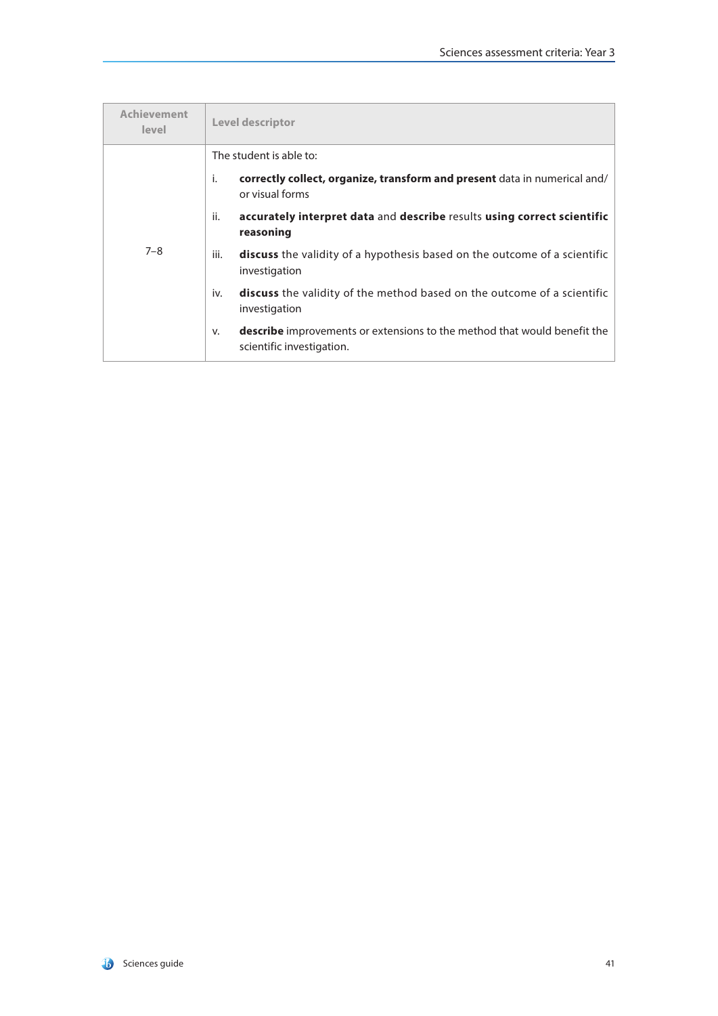| <b>Achievement</b><br>level | Level descriptor                                                                                                   |
|-----------------------------|--------------------------------------------------------------------------------------------------------------------|
|                             | The student is able to:                                                                                            |
|                             | correctly collect, organize, transform and present data in numerical and/<br>i.<br>or visual forms                 |
|                             | accurately interpret data and describe results using correct scientific<br>ii.<br>reasoning                        |
| $7 - 8$                     | <b>discuss</b> the validity of a hypothesis based on the outcome of a scientific<br>iii.<br>investigation          |
|                             | <b>discuss</b> the validity of the method based on the outcome of a scientific<br>iv.<br>investigation             |
|                             | <b>describe</b> improvements or extensions to the method that would benefit the<br>v.<br>scientific investigation. |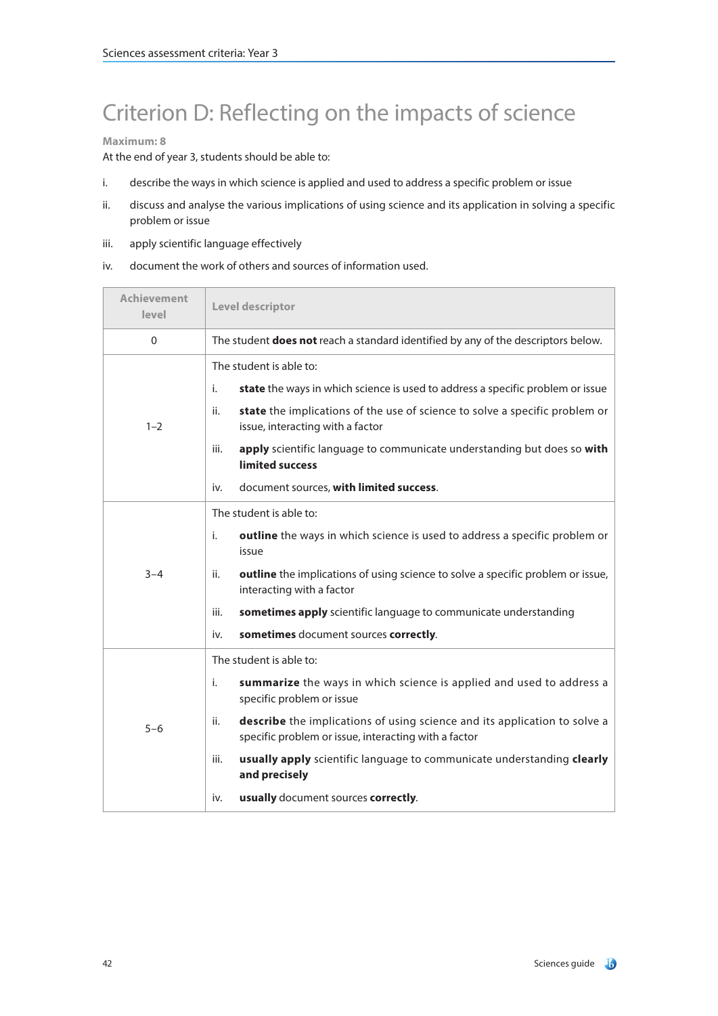# Criterion D: Reflecting on the impacts of science

### **Maximum: 8**

At the end of year 3, students should be able to:

- i. describe the ways in which science is applied and used to address a specific problem or issue
- ii. discuss and analyse the various implications of using science and its application in solving a specific problem or issue
- iii. apply scientific language effectively
- iv. document the work of others and sources of information used.

| Achievement<br>level | Level descriptor                                                                                                                         |
|----------------------|------------------------------------------------------------------------------------------------------------------------------------------|
| 0                    | The student <b>does not</b> reach a standard identified by any of the descriptors below.                                                 |
|                      | The student is able to:                                                                                                                  |
|                      | state the ways in which science is used to address a specific problem or issue<br>i.                                                     |
| $1 - 2$              | state the implications of the use of science to solve a specific problem or<br>ii.<br>issue, interacting with a factor                   |
|                      | apply scientific language to communicate understanding but does so with<br>iii.<br>limited success                                       |
|                      | document sources, with limited success.<br>iv.                                                                                           |
|                      | The student is able to:                                                                                                                  |
|                      | i.<br>outline the ways in which science is used to address a specific problem or<br>issue                                                |
| $3 - 4$              | outline the implications of using science to solve a specific problem or issue,<br>ii.<br>interacting with a factor                      |
|                      | sometimes apply scientific language to communicate understanding<br>iii.                                                                 |
|                      | sometimes document sources correctly.<br>iv.                                                                                             |
|                      | The student is able to:                                                                                                                  |
|                      | i.<br>summarize the ways in which science is applied and used to address a<br>specific problem or issue                                  |
| $5 - 6$              | describe the implications of using science and its application to solve a<br>ii.<br>specific problem or issue, interacting with a factor |
|                      | iii.<br>usually apply scientific language to communicate understanding clearly<br>and precisely                                          |
|                      | usually document sources correctly.<br>iv.                                                                                               |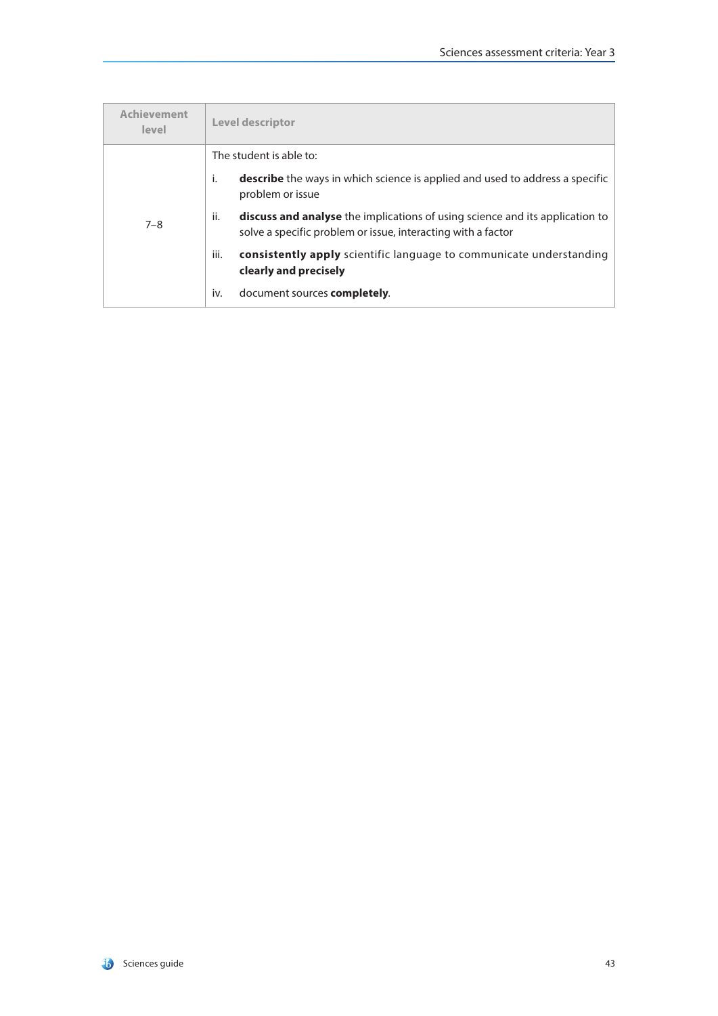| Achievement<br>level | <b>Level descriptor</b>                                                                                                                                    |
|----------------------|------------------------------------------------------------------------------------------------------------------------------------------------------------|
|                      | The student is able to:                                                                                                                                    |
|                      | <b>describe</b> the ways in which science is applied and used to address a specific<br>i.<br>problem or issue                                              |
| $7 - 8$              | ii.<br><b>discuss and analyse</b> the implications of using science and its application to<br>solve a specific problem or issue, interacting with a factor |
|                      | iii.<br><b>consistently apply</b> scientific language to communicate understanding<br>clearly and precisely                                                |
|                      | document sources <b>completely</b> .<br>iv.                                                                                                                |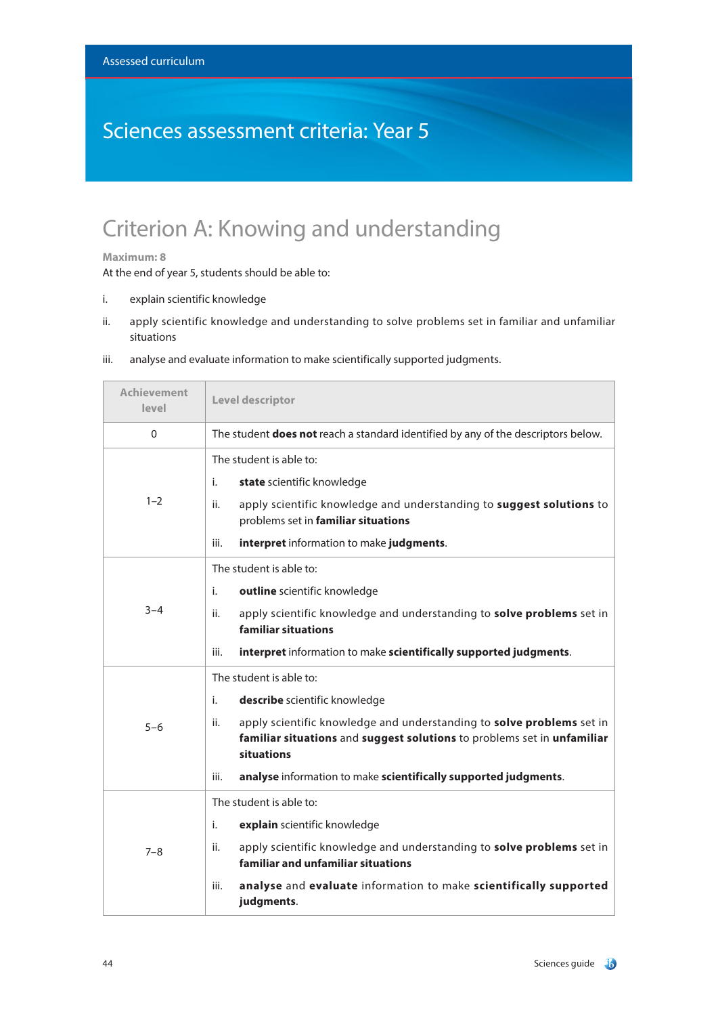## Sciences assessment criteria: Year 5

## Criterion A: Knowing and understanding

### **Maximum: 8**

At the end of year 5, students should be able to:

- i. explain scientific knowledge
- ii. apply scientific knowledge and understanding to solve problems set in familiar and unfamiliar situations

| <b>Achievement</b><br>level | Level descriptor                                                                                                                                                                                                                                                                                                   |
|-----------------------------|--------------------------------------------------------------------------------------------------------------------------------------------------------------------------------------------------------------------------------------------------------------------------------------------------------------------|
| $\Omega$                    | The student <b>does not</b> reach a standard identified by any of the descriptors below.                                                                                                                                                                                                                           |
| $1 - 2$                     | The student is able to:<br>i.<br>state scientific knowledge<br>apply scientific knowledge and understanding to suggest solutions to<br>ii.<br>problems set in familiar situations<br>interpret information to make judgments.<br>iii.                                                                              |
| $3 - 4$                     | The student is able to:<br>outline scientific knowledge<br>i.<br>apply scientific knowledge and understanding to solve problems set in<br>ii.<br>familiar situations<br>iii.<br>interpret information to make scientifically supported judgments.                                                                  |
| $5 - 6$                     | The student is able to:<br>i.<br>describe scientific knowledge<br>apply scientific knowledge and understanding to solve problems set in<br>ii.<br>familiar situations and suggest solutions to problems set in unfamiliar<br>situations<br>analyse information to make scientifically supported judgments.<br>iii. |
| $7 - 8$                     | The student is able to:<br>explain scientific knowledge<br>i.<br>apply scientific knowledge and understanding to solve problems set in<br>ii.<br>familiar and unfamiliar situations<br>analyse and evaluate information to make scientifically supported<br>iii.<br>judgments.                                     |

iii. analyse and evaluate information to make scientifically supported judgments.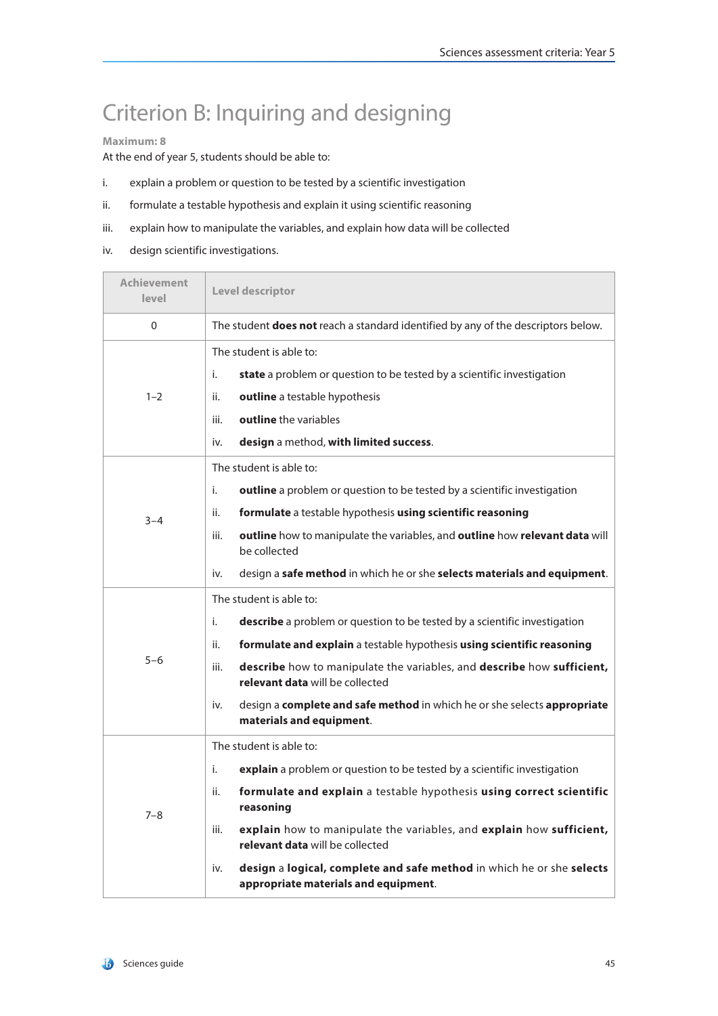## Criterion B: Inquiring and designing

### **Maximum: 8**

At the end of year 5, students should be able to:

- i. explain a problem or question to be tested by a scientific investigation
- ii. formulate a testable hypothesis and explain it using scientific reasoning
- iii. explain how to manipulate the variables, and explain how data will be collected
- iv. design scientific investigations.

| <b>Achievement</b><br>level | Level descriptor                                                                                                     |
|-----------------------------|----------------------------------------------------------------------------------------------------------------------|
| $\mathbf{0}$                | The student does not reach a standard identified by any of the descriptors below.                                    |
|                             | The student is able to:                                                                                              |
|                             | i.<br><b>state</b> a problem or question to be tested by a scientific investigation                                  |
| $1 - 2$                     | outline a testable hypothesis<br>ii.                                                                                 |
|                             | outline the variables<br>iii.                                                                                        |
|                             | <b>design</b> a method, with limited success.<br>iv.                                                                 |
|                             | The student is able to:                                                                                              |
|                             | i.<br>outline a problem or question to be tested by a scientific investigation                                       |
| $3 - 4$                     | formulate a testable hypothesis using scientific reasoning<br>ii.                                                    |
|                             | outline how to manipulate the variables, and outline how relevant data will<br>iii.<br>be collected                  |
|                             | design a safe method in which he or she selects materials and equipment.<br>iv.                                      |
|                             | The student is able to:                                                                                              |
|                             | describe a problem or question to be tested by a scientific investigation<br>i.                                      |
|                             | formulate and explain a testable hypothesis using scientific reasoning<br>ii.                                        |
| $5 - 6$                     | describe how to manipulate the variables, and describe how sufficient,<br>iii.<br>relevant data will be collected    |
|                             | design a complete and safe method in which he or she selects appropriate<br>iv.<br>materials and equipment.          |
|                             | The student is able to:                                                                                              |
|                             | i.<br>explain a problem or question to be tested by a scientific investigation                                       |
| $7 - 8$                     | formulate and explain a testable hypothesis using correct scientific<br>ii.<br>reasoning                             |
|                             | explain how to manipulate the variables, and explain how sufficient,<br>iii.<br>relevant data will be collected      |
|                             | design a logical, complete and safe method in which he or she selects<br>iv.<br>appropriate materials and equipment. |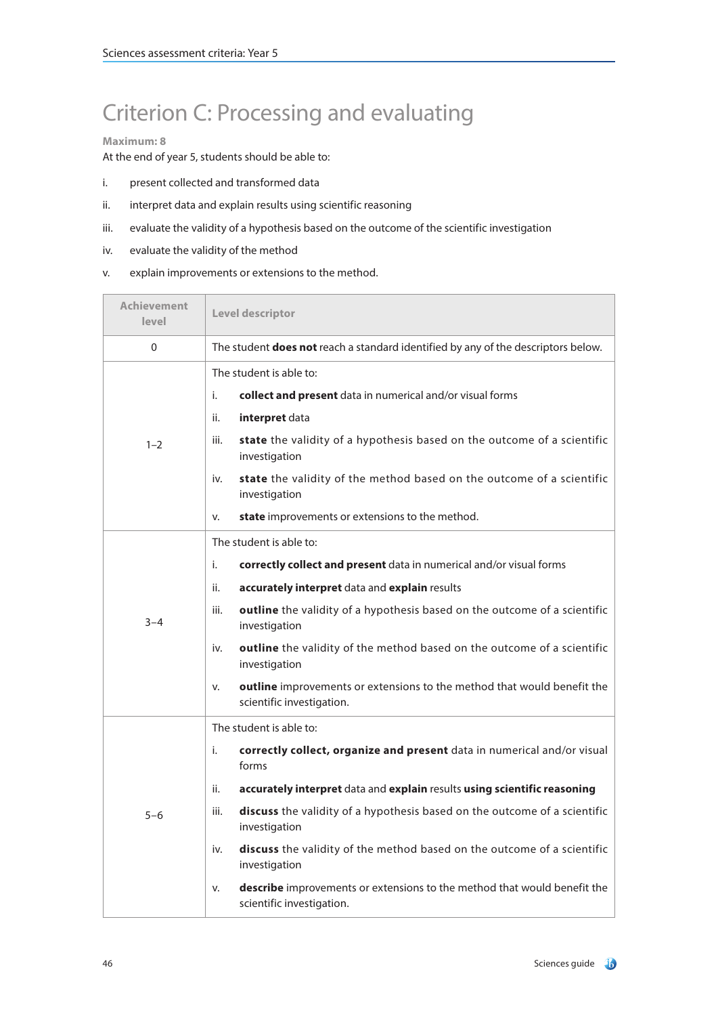## Criterion C: Processing and evaluating

#### **Maximum: 8**

At the end of year 5, students should be able to:

- i. present collected and transformed data
- ii. interpret data and explain results using scientific reasoning
- iii. evaluate the validity of a hypothesis based on the outcome of the scientific investigation
- iv. evaluate the validity of the method
- v. explain improvements or extensions to the method.

| <b>Achievement</b><br>level | Level descriptor                                                                                            |  |
|-----------------------------|-------------------------------------------------------------------------------------------------------------|--|
| 0                           | The student <b>does not</b> reach a standard identified by any of the descriptors below.                    |  |
|                             | The student is able to:                                                                                     |  |
|                             | i.<br>collect and present data in numerical and/or visual forms                                             |  |
|                             | interpret data<br>ii.                                                                                       |  |
| $1 - 2$                     | state the validity of a hypothesis based on the outcome of a scientific<br>iii.<br>investigation            |  |
|                             | state the validity of the method based on the outcome of a scientific<br>iv.<br>investigation               |  |
|                             | state improvements or extensions to the method.<br>v.                                                       |  |
|                             | The student is able to:                                                                                     |  |
|                             | correctly collect and present data in numerical and/or visual forms<br>i.                                   |  |
|                             | ii.<br>accurately interpret data and explain results                                                        |  |
| $3 - 4$                     | outline the validity of a hypothesis based on the outcome of a scientific<br>iii.<br>investigation          |  |
|                             | outline the validity of the method based on the outcome of a scientific<br>iv.<br>investigation             |  |
|                             | outline improvements or extensions to the method that would benefit the<br>v.<br>scientific investigation.  |  |
|                             | The student is able to:                                                                                     |  |
|                             | i.<br>correctly collect, organize and present data in numerical and/or visual<br>forms                      |  |
|                             | ii.<br>accurately interpret data and explain results using scientific reasoning                             |  |
| $5 - 6$                     | discuss the validity of a hypothesis based on the outcome of a scientific<br>iii.<br>investigation          |  |
|                             | discuss the validity of the method based on the outcome of a scientific<br>iv.<br>investigation             |  |
|                             | describe improvements or extensions to the method that would benefit the<br>v.<br>scientific investigation. |  |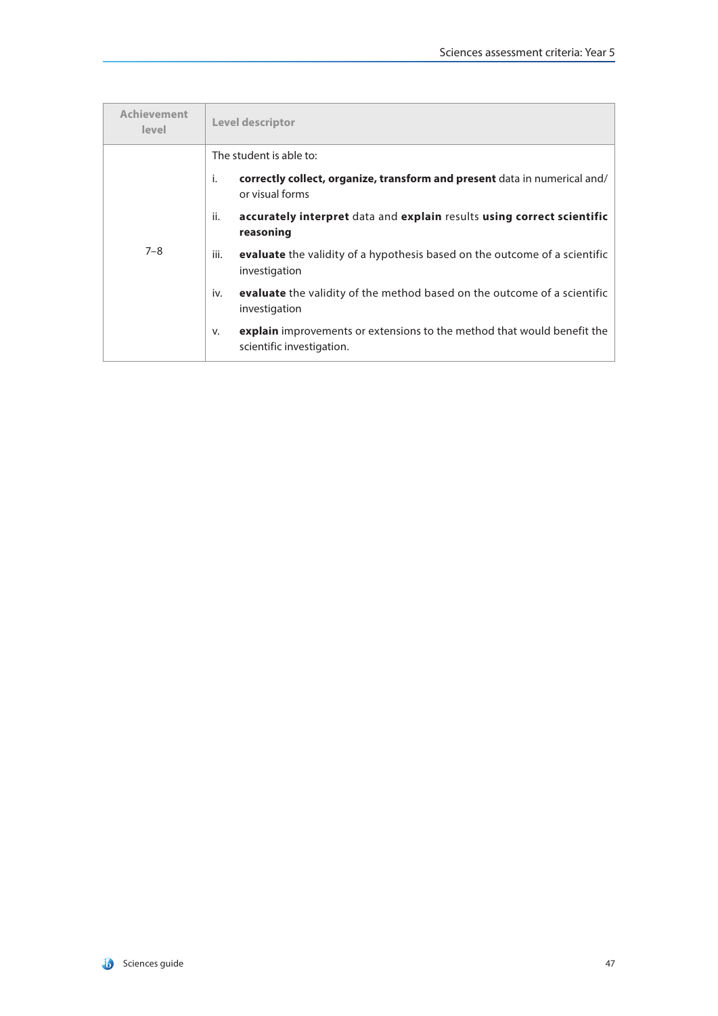| <b>Achievement</b><br>level | Level descriptor                                                                                                  |
|-----------------------------|-------------------------------------------------------------------------------------------------------------------|
|                             | The student is able to:                                                                                           |
|                             | correctly collect, organize, transform and present data in numerical and/<br>i.<br>or visual forms                |
| $7 - 8$                     | accurately interpret data and explain results using correct scientific<br>ii.<br>reasoning                        |
|                             | evaluate the validity of a hypothesis based on the outcome of a scientific<br>iii.<br>investigation               |
|                             | evaluate the validity of the method based on the outcome of a scientific<br>iv.<br>investigation                  |
|                             | <b>explain</b> improvements or extensions to the method that would benefit the<br>v.<br>scientific investigation. |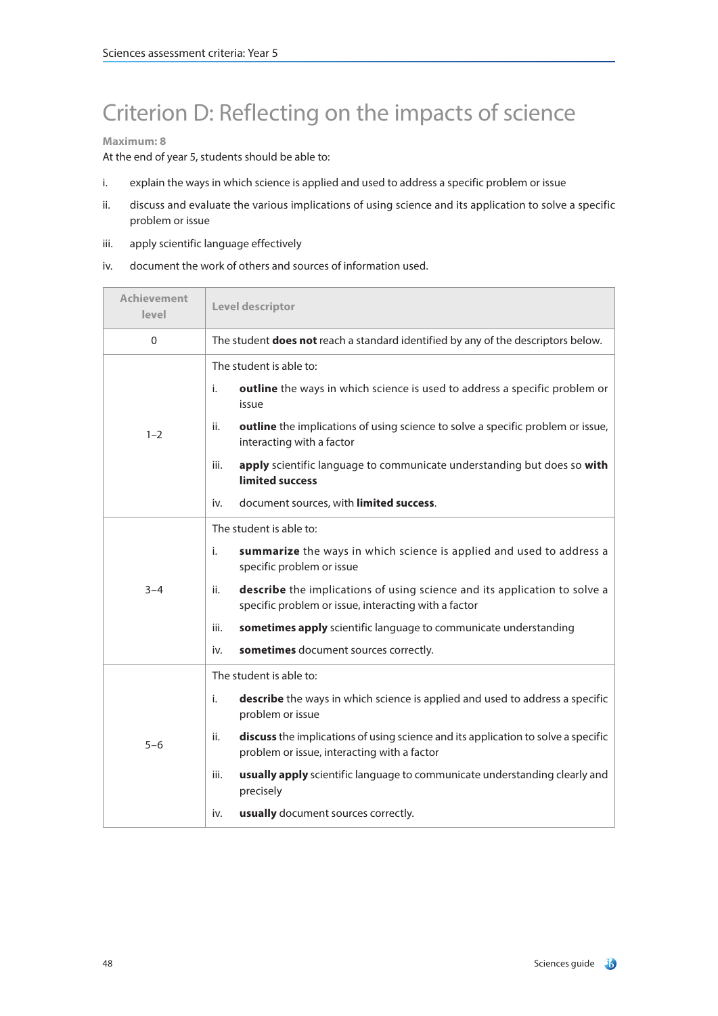# Criterion D: Reflecting on the impacts of science

### **Maximum: 8**

At the end of year 5, students should be able to:

- i. explain the ways in which science is applied and used to address a specific problem or issue
- ii. discuss and evaluate the various implications of using science and its application to solve a specific problem or issue
- iii. apply scientific language effectively
- iv. document the work of others and sources of information used.

| <b>Achievement</b><br>level | Level descriptor                                                                                                                         |
|-----------------------------|------------------------------------------------------------------------------------------------------------------------------------------|
| 0                           | The student does not reach a standard identified by any of the descriptors below.                                                        |
|                             | The student is able to:                                                                                                                  |
|                             | outline the ways in which science is used to address a specific problem or<br>i.<br>issue                                                |
| $1 - 2$                     | outline the implications of using science to solve a specific problem or issue,<br>ii.<br>interacting with a factor                      |
|                             | apply scientific language to communicate understanding but does so with<br>iii.<br>limited success                                       |
|                             | document sources, with limited success.<br>iv.                                                                                           |
|                             | The student is able to:                                                                                                                  |
| $3 - 4$                     | summarize the ways in which science is applied and used to address a<br>i.<br>specific problem or issue                                  |
|                             | describe the implications of using science and its application to solve a<br>ii.<br>specific problem or issue, interacting with a factor |
|                             | sometimes apply scientific language to communicate understanding<br>iii.                                                                 |
|                             | sometimes document sources correctly.<br>iv.                                                                                             |
|                             | The student is able to:                                                                                                                  |
| $5 - 6$                     | describe the ways in which science is applied and used to address a specific<br>i.<br>problem or issue                                   |
|                             | discuss the implications of using science and its application to solve a specific<br>ii.<br>problem or issue, interacting with a factor  |
|                             | usually apply scientific language to communicate understanding clearly and<br>iii.<br>precisely                                          |
|                             | usually document sources correctly.<br>iv.                                                                                               |